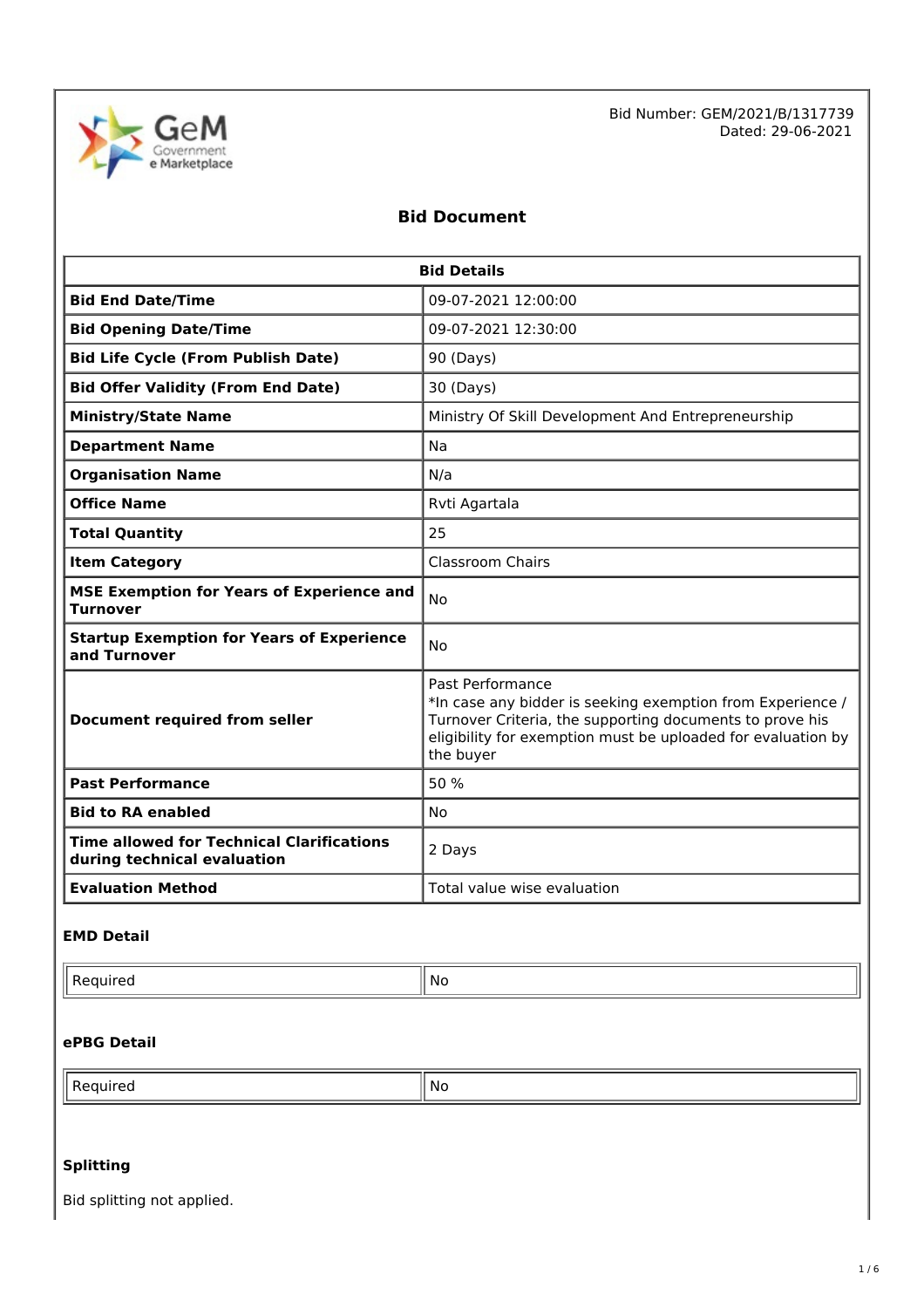

Bid Number: GEM/2021/B/1317739 Dated: 29-06-2021

# **Bid Document**

| <b>Bid Details</b>                                                               |                                                                                                                                                                                                                         |  |
|----------------------------------------------------------------------------------|-------------------------------------------------------------------------------------------------------------------------------------------------------------------------------------------------------------------------|--|
| <b>Bid End Date/Time</b>                                                         | 09-07-2021 12:00:00                                                                                                                                                                                                     |  |
| <b>Bid Opening Date/Time</b>                                                     | 09-07-2021 12:30:00                                                                                                                                                                                                     |  |
| <b>Bid Life Cycle (From Publish Date)</b>                                        | 90 (Days)                                                                                                                                                                                                               |  |
| <b>Bid Offer Validity (From End Date)</b>                                        | 30 (Days)                                                                                                                                                                                                               |  |
| <b>Ministry/State Name</b>                                                       | Ministry Of Skill Development And Entrepreneurship                                                                                                                                                                      |  |
| <b>Department Name</b>                                                           | Na                                                                                                                                                                                                                      |  |
| <b>Organisation Name</b>                                                         | N/a                                                                                                                                                                                                                     |  |
| <b>Office Name</b><br>Rvti Agartala                                              |                                                                                                                                                                                                                         |  |
| <b>Total Quantity</b>                                                            | 25                                                                                                                                                                                                                      |  |
| <b>Item Category</b>                                                             | <b>Classroom Chairs</b>                                                                                                                                                                                                 |  |
| <b>MSE Exemption for Years of Experience and</b><br><b>No</b><br><b>Turnover</b> |                                                                                                                                                                                                                         |  |
| <b>Startup Exemption for Years of Experience</b><br>and Turnover                 | <b>No</b>                                                                                                                                                                                                               |  |
| <b>Document required from seller</b>                                             | Past Performance<br>*In case any bidder is seeking exemption from Experience /<br>Turnover Criteria, the supporting documents to prove his<br>eligibility for exemption must be uploaded for evaluation by<br>the buyer |  |
| <b>Past Performance</b>                                                          | 50 %                                                                                                                                                                                                                    |  |
| <b>Bid to RA enabled</b>                                                         | <b>No</b>                                                                                                                                                                                                               |  |
| <b>Time allowed for Technical Clarifications</b><br>during technical evaluation  | 2 Days                                                                                                                                                                                                                  |  |
| <b>Evaluation Method</b>                                                         | Total value wise evaluation                                                                                                                                                                                             |  |

## **EMD Detail**

| . NG |  |
|------|--|

#### **ePBG Detail**

| .No |
|-----|
|-----|

# **Splitting**

Bid splitting not applied.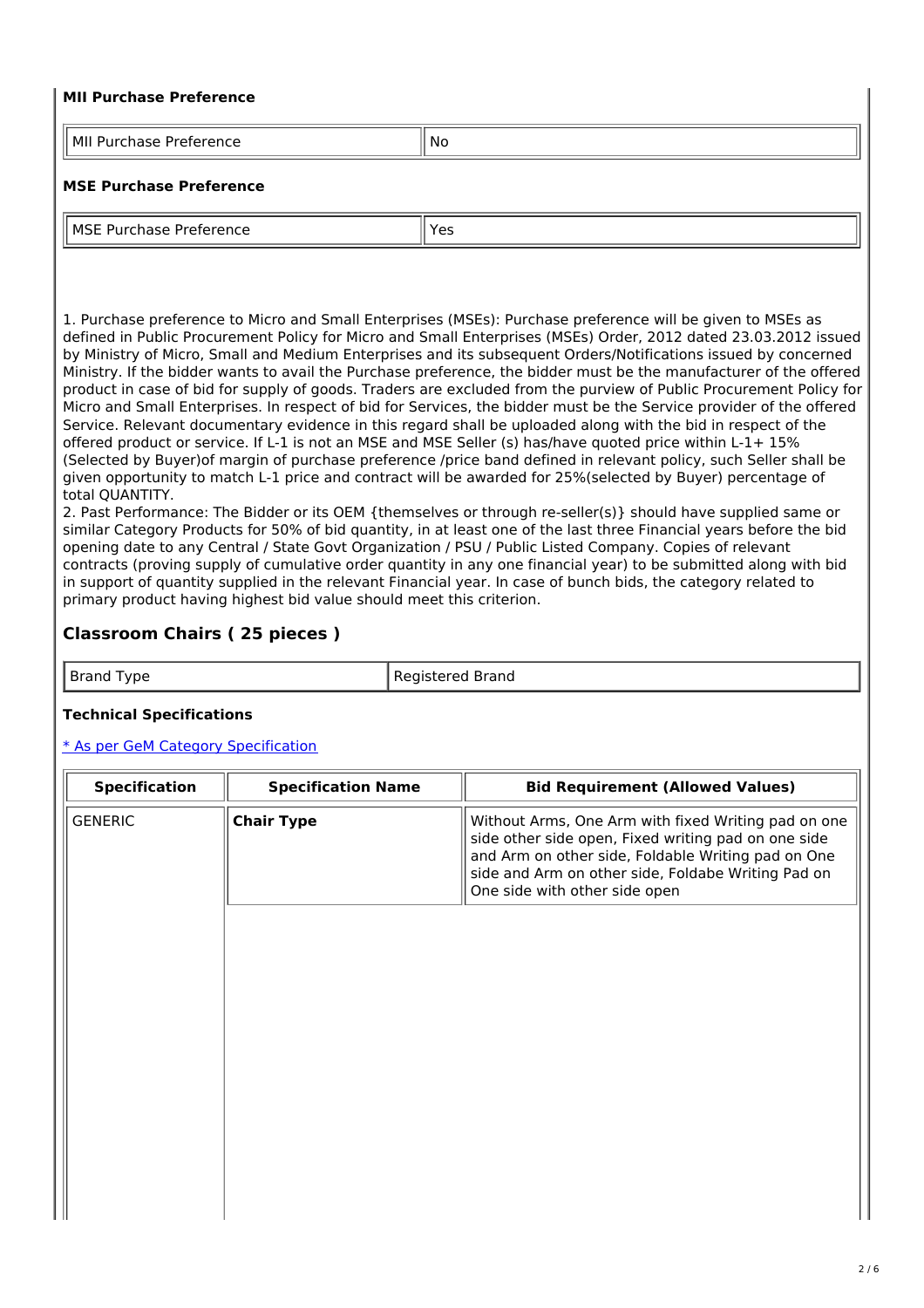#### **MII Purchase Preference**

| .<br>---<br>. .<br>הונכ<br>־<br>. | <b>No</b> |
|-----------------------------------|-----------|

#### **MSE Purchase Preference**

| l MSF<br>⊷<br>ʻui<br>™erence<br>chase i<br>. . | Vac |
|------------------------------------------------|-----|
| ~<br>---                                       | د ب |

1. Purchase preference to Micro and Small Enterprises (MSEs): Purchase preference will be given to MSEs as defined in Public Procurement Policy for Micro and Small Enterprises (MSEs) Order, 2012 dated 23.03.2012 issued by Ministry of Micro, Small and Medium Enterprises and its subsequent Orders/Notifications issued by concerned Ministry. If the bidder wants to avail the Purchase preference, the bidder must be the manufacturer of the offered product in case of bid for supply of goods. Traders are excluded from the purview of Public Procurement Policy for Micro and Small Enterprises. In respect of bid for Services, the bidder must be the Service provider of the offered Service. Relevant documentary evidence in this regard shall be uploaded along with the bid in respect of the offered product or service. If L-1 is not an MSE and MSE Seller (s) has/have quoted price within L-1+ 15% (Selected by Buyer)of margin of purchase preference /price band defined in relevant policy, such Seller shall be given opportunity to match L-1 price and contract will be awarded for 25%(selected by Buyer) percentage of total QUANTITY.

2. Past Performance: The Bidder or its OEM {themselves or through re-seller(s)} should have supplied same or similar Category Products for 50% of bid quantity, in at least one of the last three Financial years before the bid opening date to any Central / State Govt Organization / PSU / Public Listed Company. Copies of relevant contracts (proving supply of cumulative order quantity in any one financial year) to be submitted along with bid in support of quantity supplied in the relevant Financial year. In case of bunch bids, the category related to primary product having highest bid value should meet this criterion.

## **Classroom Chairs ( 25 pieces )**

Brand Type Registered Brand

#### **Technical Specifications**

#### \* As per GeM Category [Specification](https://bidplus.gem.gov.in/bidding/bid/showCatalogue/skaO6XjGNcWad761KMaozKLdY0-p1eAftfQQMKLatTs)

| <b>Specification</b> | <b>Specification Name</b> | <b>Bid Requirement (Allowed Values)</b>                                                                                                                                                                                                                 |
|----------------------|---------------------------|---------------------------------------------------------------------------------------------------------------------------------------------------------------------------------------------------------------------------------------------------------|
| <b>GENERIC</b>       | <b>Chair Type</b>         | Without Arms, One Arm with fixed Writing pad on one<br>side other side open, Fixed writing pad on one side<br>and Arm on other side, Foldable Writing pad on One<br>side and Arm on other side, Foldabe Writing Pad on<br>One side with other side open |
|                      |                           |                                                                                                                                                                                                                                                         |
|                      |                           |                                                                                                                                                                                                                                                         |
|                      |                           |                                                                                                                                                                                                                                                         |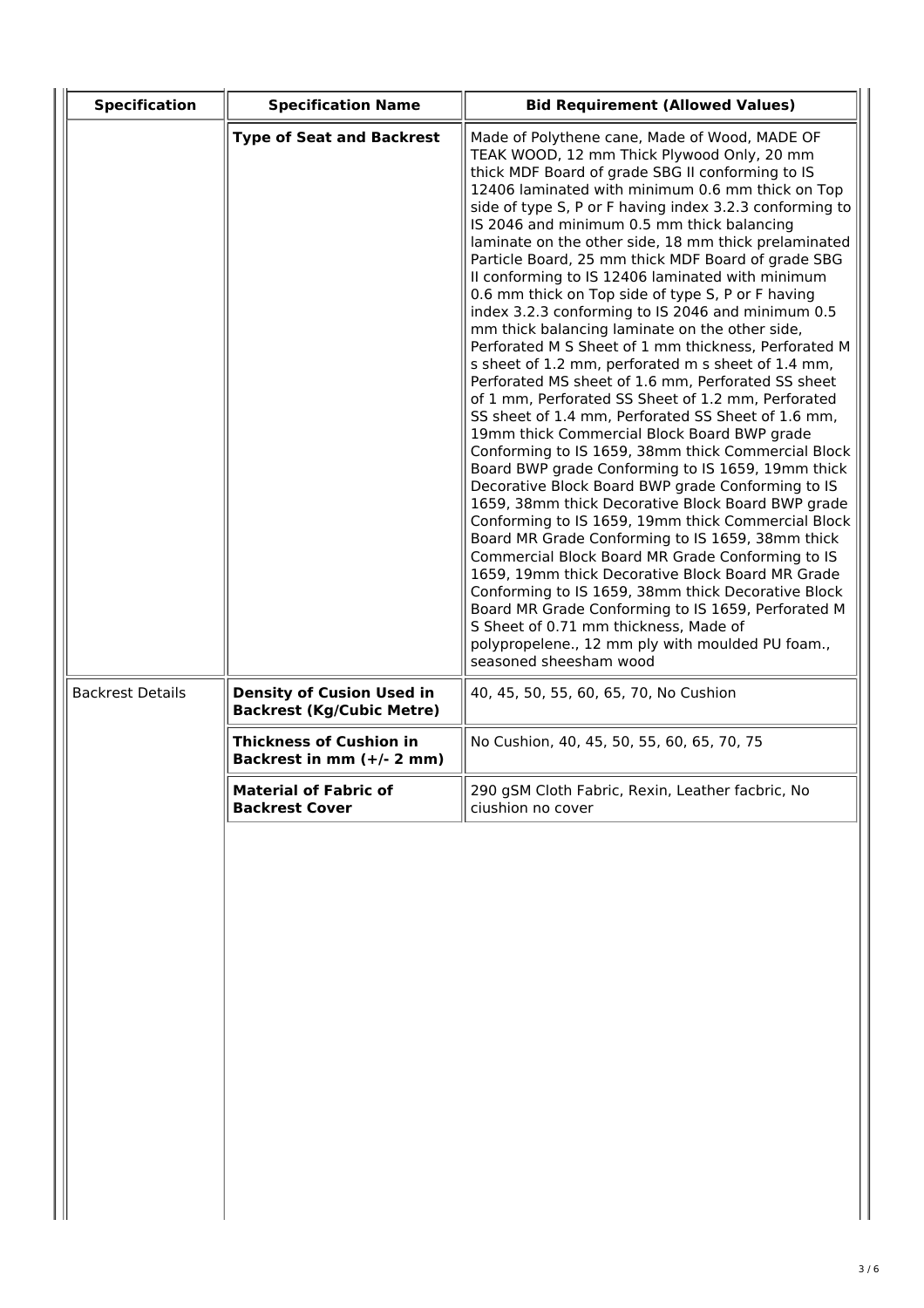| <b>Specification</b>    | <b>Specification Name</b>                                            | <b>Bid Requirement (Allowed Values)</b>                                                                                                                                                                                                                                                                                                                                                                                                                                                                                                                                                                                                                                                                                                                                                                                                                                                                                                                                                                                                                                                                                                                                                                                                                                                                                                                                                                                                                                                                                                                                                                                                             |  |  |
|-------------------------|----------------------------------------------------------------------|-----------------------------------------------------------------------------------------------------------------------------------------------------------------------------------------------------------------------------------------------------------------------------------------------------------------------------------------------------------------------------------------------------------------------------------------------------------------------------------------------------------------------------------------------------------------------------------------------------------------------------------------------------------------------------------------------------------------------------------------------------------------------------------------------------------------------------------------------------------------------------------------------------------------------------------------------------------------------------------------------------------------------------------------------------------------------------------------------------------------------------------------------------------------------------------------------------------------------------------------------------------------------------------------------------------------------------------------------------------------------------------------------------------------------------------------------------------------------------------------------------------------------------------------------------------------------------------------------------------------------------------------------------|--|--|
|                         | <b>Type of Seat and Backrest</b>                                     | Made of Polythene cane, Made of Wood, MADE OF<br>TEAK WOOD, 12 mm Thick Plywood Only, 20 mm<br>thick MDF Board of grade SBG II conforming to IS<br>12406 laminated with minimum 0.6 mm thick on Top<br>side of type S, P or F having index 3.2.3 conforming to<br>IS 2046 and minimum 0.5 mm thick balancing<br>laminate on the other side, 18 mm thick prelaminated<br>Particle Board, 25 mm thick MDF Board of grade SBG<br>Il conforming to IS 12406 laminated with minimum<br>0.6 mm thick on Top side of type S, P or F having<br>index 3.2.3 conforming to IS 2046 and minimum 0.5<br>mm thick balancing laminate on the other side,<br>Perforated M S Sheet of 1 mm thickness, Perforated M<br>s sheet of 1.2 mm, perforated m s sheet of 1.4 mm,<br>Perforated MS sheet of 1.6 mm, Perforated SS sheet<br>of 1 mm, Perforated SS Sheet of 1.2 mm, Perforated<br>SS sheet of 1.4 mm, Perforated SS Sheet of 1.6 mm,<br>19mm thick Commercial Block Board BWP grade<br>Conforming to IS 1659, 38mm thick Commercial Block<br>Board BWP grade Conforming to IS 1659, 19mm thick<br>Decorative Block Board BWP grade Conforming to IS<br>1659, 38mm thick Decorative Block Board BWP grade<br>Conforming to IS 1659, 19mm thick Commercial Block<br>Board MR Grade Conforming to IS 1659, 38mm thick<br>Commercial Block Board MR Grade Conforming to IS<br>1659, 19mm thick Decorative Block Board MR Grade<br>Conforming to IS 1659, 38mm thick Decorative Block<br>Board MR Grade Conforming to IS 1659, Perforated M<br>S Sheet of 0.71 mm thickness, Made of<br>polypropelene., 12 mm ply with moulded PU foam.,<br>seasoned sheesham wood |  |  |
| <b>Backrest Details</b> | <b>Density of Cusion Used in</b><br><b>Backrest (Kg/Cubic Metre)</b> | 40, 45, 50, 55, 60, 65, 70, No Cushion                                                                                                                                                                                                                                                                                                                                                                                                                                                                                                                                                                                                                                                                                                                                                                                                                                                                                                                                                                                                                                                                                                                                                                                                                                                                                                                                                                                                                                                                                                                                                                                                              |  |  |
|                         | <b>Thickness of Cushion in</b><br>Backrest in mm (+/- 2 mm)          | No Cushion, 40, 45, 50, 55, 60, 65, 70, 75                                                                                                                                                                                                                                                                                                                                                                                                                                                                                                                                                                                                                                                                                                                                                                                                                                                                                                                                                                                                                                                                                                                                                                                                                                                                                                                                                                                                                                                                                                                                                                                                          |  |  |
|                         | <b>Material of Fabric of</b><br><b>Backrest Cover</b>                | 290 gSM Cloth Fabric, Rexin, Leather facbric, No<br>ciushion no cover                                                                                                                                                                                                                                                                                                                                                                                                                                                                                                                                                                                                                                                                                                                                                                                                                                                                                                                                                                                                                                                                                                                                                                                                                                                                                                                                                                                                                                                                                                                                                                               |  |  |
|                         |                                                                      |                                                                                                                                                                                                                                                                                                                                                                                                                                                                                                                                                                                                                                                                                                                                                                                                                                                                                                                                                                                                                                                                                                                                                                                                                                                                                                                                                                                                                                                                                                                                                                                                                                                     |  |  |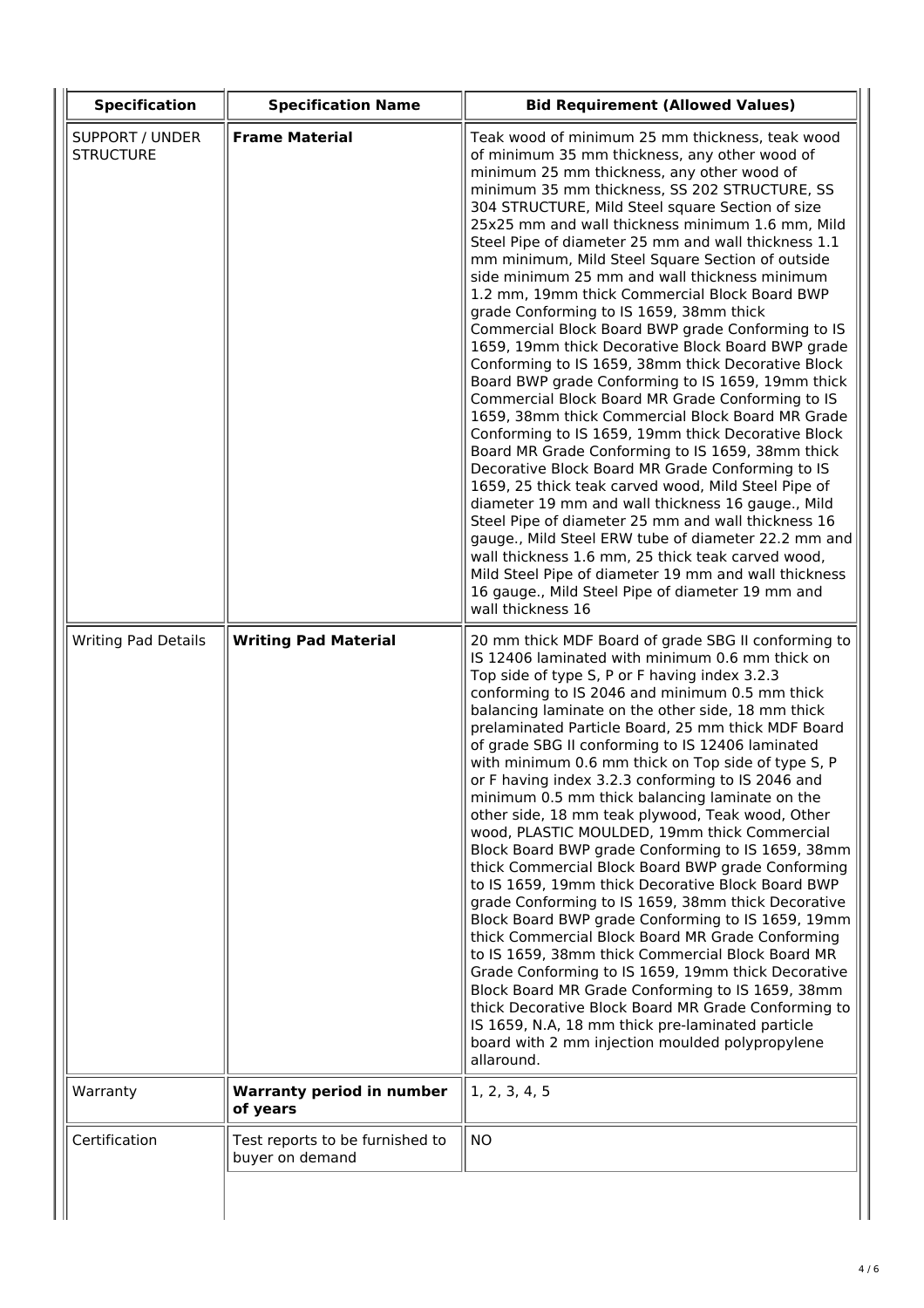| <b>Specification</b>                       | <b>Specification Name</b>                          | <b>Bid Requirement (Allowed Values)</b>                                                                                                                                                                                                                                                                                                                                                                                                                                                                                                                                                                                                                                                                                                                                                                                                                                                                                                                                                                                                                                                                                                                                                                                                                                                                                                                                                                                                                                   |
|--------------------------------------------|----------------------------------------------------|---------------------------------------------------------------------------------------------------------------------------------------------------------------------------------------------------------------------------------------------------------------------------------------------------------------------------------------------------------------------------------------------------------------------------------------------------------------------------------------------------------------------------------------------------------------------------------------------------------------------------------------------------------------------------------------------------------------------------------------------------------------------------------------------------------------------------------------------------------------------------------------------------------------------------------------------------------------------------------------------------------------------------------------------------------------------------------------------------------------------------------------------------------------------------------------------------------------------------------------------------------------------------------------------------------------------------------------------------------------------------------------------------------------------------------------------------------------------------|
| <b>SUPPORT / UNDER</b><br><b>STRUCTURE</b> | <b>Frame Material</b>                              | Teak wood of minimum 25 mm thickness, teak wood<br>of minimum 35 mm thickness, any other wood of<br>minimum 25 mm thickness, any other wood of<br>minimum 35 mm thickness, SS 202 STRUCTURE, SS<br>304 STRUCTURE, Mild Steel square Section of size<br>25x25 mm and wall thickness minimum 1.6 mm, Mild<br>Steel Pipe of diameter 25 mm and wall thickness 1.1<br>mm minimum, Mild Steel Square Section of outside<br>side minimum 25 mm and wall thickness minimum<br>1.2 mm, 19mm thick Commercial Block Board BWP<br>grade Conforming to IS 1659, 38mm thick<br>Commercial Block Board BWP grade Conforming to IS<br>1659, 19mm thick Decorative Block Board BWP grade<br>Conforming to IS 1659, 38mm thick Decorative Block<br>Board BWP grade Conforming to IS 1659, 19mm thick<br>Commercial Block Board MR Grade Conforming to IS<br>1659, 38mm thick Commercial Block Board MR Grade<br>Conforming to IS 1659, 19mm thick Decorative Block<br>Board MR Grade Conforming to IS 1659, 38mm thick<br>Decorative Block Board MR Grade Conforming to IS<br>1659, 25 thick teak carved wood, Mild Steel Pipe of<br>diameter 19 mm and wall thickness 16 gauge., Mild<br>Steel Pipe of diameter 25 mm and wall thickness 16<br>gauge., Mild Steel ERW tube of diameter 22.2 mm and<br>wall thickness 1.6 mm, 25 thick teak carved wood,<br>Mild Steel Pipe of diameter 19 mm and wall thickness<br>16 gauge., Mild Steel Pipe of diameter 19 mm and<br>wall thickness 16 |
| <b>Writing Pad Details</b>                 | <b>Writing Pad Material</b>                        | 20 mm thick MDF Board of grade SBG II conforming to<br>IS 12406 laminated with minimum 0.6 mm thick on<br>Top side of type S, P or F having index 3.2.3<br>conforming to IS 2046 and minimum 0.5 mm thick<br>balancing laminate on the other side, 18 mm thick<br>prelaminated Particle Board, 25 mm thick MDF Board<br>of grade SBG II conforming to IS 12406 laminated<br>with minimum 0.6 mm thick on Top side of type S, P<br>or F having index 3.2.3 conforming to IS 2046 and<br>minimum 0.5 mm thick balancing laminate on the<br>other side, 18 mm teak plywood, Teak wood, Other<br>wood, PLASTIC MOULDED, 19mm thick Commercial<br>Block Board BWP grade Conforming to IS 1659, 38mm<br>thick Commercial Block Board BWP grade Conforming<br>to IS 1659, 19mm thick Decorative Block Board BWP<br>grade Conforming to IS 1659, 38mm thick Decorative<br>Block Board BWP grade Conforming to IS 1659, 19mm<br>thick Commercial Block Board MR Grade Conforming<br>to IS 1659, 38mm thick Commercial Block Board MR<br>Grade Conforming to IS 1659, 19mm thick Decorative<br>Block Board MR Grade Conforming to IS 1659, 38mm<br>thick Decorative Block Board MR Grade Conforming to<br>IS 1659, N.A, 18 mm thick pre-laminated particle<br>board with 2 mm injection moulded polypropylene<br>allaround.                                                                                                                                                         |
| Warranty                                   | <b>Warranty period in number</b><br>of years       | 1, 2, 3, 4, 5                                                                                                                                                                                                                                                                                                                                                                                                                                                                                                                                                                                                                                                                                                                                                                                                                                                                                                                                                                                                                                                                                                                                                                                                                                                                                                                                                                                                                                                             |
| Certification                              | Test reports to be furnished to<br>buyer on demand | <b>NO</b>                                                                                                                                                                                                                                                                                                                                                                                                                                                                                                                                                                                                                                                                                                                                                                                                                                                                                                                                                                                                                                                                                                                                                                                                                                                                                                                                                                                                                                                                 |
|                                            |                                                    |                                                                                                                                                                                                                                                                                                                                                                                                                                                                                                                                                                                                                                                                                                                                                                                                                                                                                                                                                                                                                                                                                                                                                                                                                                                                                                                                                                                                                                                                           |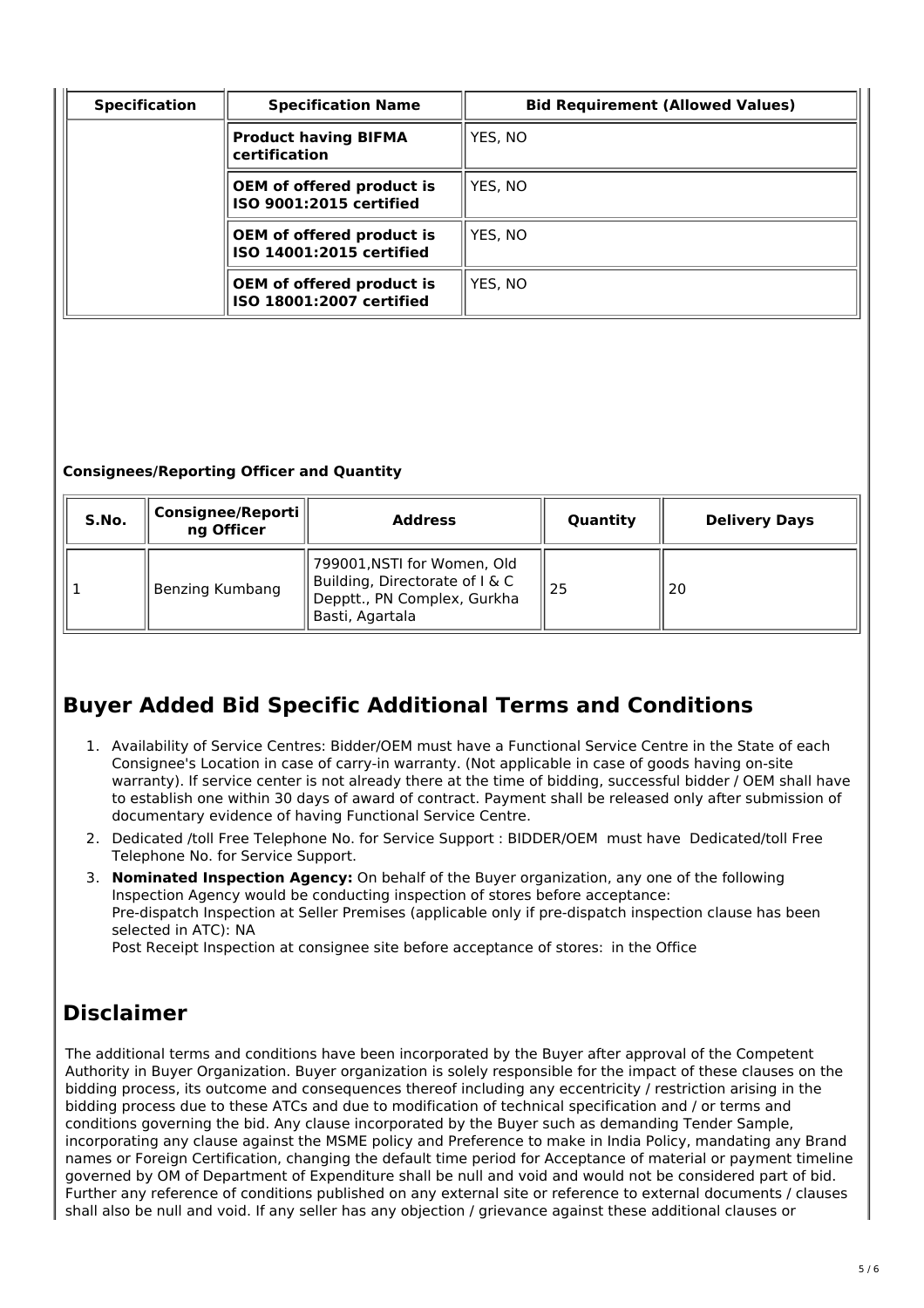| <b>Specification</b> | <b>Specification Name</b>                                    | <b>Bid Requirement (Allowed Values)</b> |
|----------------------|--------------------------------------------------------------|-----------------------------------------|
|                      | <b>Product having BIFMA</b><br>certification                 | YES. NO                                 |
|                      | <b>OEM</b> of offered product is<br>ISO 9001:2015 certified  | YES. NO                                 |
|                      | <b>OEM of offered product is</b><br>ISO 14001:2015 certified | YES. NO                                 |
|                      | <b>OEM</b> of offered product is<br>ISO 18001:2007 certified | YES. NO                                 |

### **Consignees/Reporting Officer and Quantity**

| S.No. | Consignee/Reporti<br>ng Officer | <b>Address</b>                                                                                                  | Quantity | <b>Delivery Days</b> |
|-------|---------------------------------|-----------------------------------------------------------------------------------------------------------------|----------|----------------------|
|       | Benzing Kumbang                 | 799001, NSTI for Women, Old<br>Building, Directorate of I & C<br>Depptt., PN Complex, Gurkha<br>Basti, Agartala | 25       | 20                   |

# **Buyer Added Bid Specific Additional Terms and Conditions**

- 1. Availability of Service Centres: Bidder/OEM must have a Functional Service Centre in the State of each Consignee's Location in case of carry-in warranty. (Not applicable in case of goods having on-site warranty). If service center is not already there at the time of bidding, successful bidder / OEM shall have to establish one within 30 days of award of contract. Payment shall be released only after submission of documentary evidence of having Functional Service Centre.
- 2. Dedicated /toll Free Telephone No. for Service Support : BIDDER/OEM must have Dedicated/toll Free Telephone No. for Service Support.
- 3. **Nominated Inspection Agency:** On behalf of the Buyer organization, any one of the following Inspection Agency would be conducting inspection of stores before acceptance: Pre-dispatch Inspection at Seller Premises (applicable only if pre-dispatch inspection clause has been selected in ATC): NA

Post Receipt Inspection at consignee site before acceptance of stores: in the Office

# **Disclaimer**

The additional terms and conditions have been incorporated by the Buyer after approval of the Competent Authority in Buyer Organization. Buyer organization is solely responsible for the impact of these clauses on the bidding process, its outcome and consequences thereof including any eccentricity / restriction arising in the bidding process due to these ATCs and due to modification of technical specification and / or terms and conditions governing the bid. Any clause incorporated by the Buyer such as demanding Tender Sample, incorporating any clause against the MSME policy and Preference to make in India Policy, mandating any Brand names or Foreign Certification, changing the default time period for Acceptance of material or payment timeline governed by OM of Department of Expenditure shall be null and void and would not be considered part of bid. Further any reference of conditions published on any external site or reference to external documents / clauses shall also be null and void. If any seller has any objection / grievance against these additional clauses or